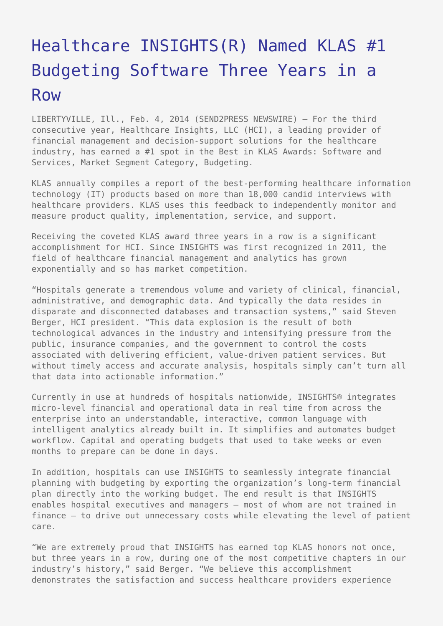## [Healthcare INSIGHTS\(R\) Named KLAS #1](https://www.send2press.com/wire/healthcare-insights-named-klas-1-budgeting-software-three-years-in-row_2014-02-0204-001/) [Budgeting Software Three Years in a](https://www.send2press.com/wire/healthcare-insights-named-klas-1-budgeting-software-three-years-in-row_2014-02-0204-001/) [Row](https://www.send2press.com/wire/healthcare-insights-named-klas-1-budgeting-software-three-years-in-row_2014-02-0204-001/)

LIBERTYVILLE, Ill., Feb. 4, 2014 (SEND2PRESS NEWSWIRE) — For the third consecutive year, Healthcare Insights, LLC (HCI), a leading provider of financial management and decision-support solutions for the healthcare industry, has earned a #1 spot in the Best in KLAS Awards: Software and Services, Market Segment Category, Budgeting.

KLAS annually compiles a report of the best-performing healthcare information technology (IT) products based on more than 18,000 candid interviews with healthcare providers. KLAS uses this feedback to independently monitor and measure product quality, implementation, service, and support.

Receiving the coveted KLAS award three years in a row is a significant accomplishment for HCI. Since INSIGHTS was first recognized in 2011, the field of healthcare financial management and analytics has grown exponentially and so has market competition.

"Hospitals generate a tremendous volume and variety of clinical, financial, administrative, and demographic data. And typically the data resides in disparate and disconnected databases and transaction systems," said Steven Berger, HCI president. "This data explosion is the result of both technological advances in the industry and intensifying pressure from the public, insurance companies, and the government to control the costs associated with delivering efficient, value-driven patient services. But without timely access and accurate analysis, hospitals simply can't turn all that data into actionable information."

Currently in use at hundreds of hospitals nationwide, INSIGHTS® integrates micro-level financial and operational data in real time from across the enterprise into an understandable, interactive, common language with intelligent analytics already built in. It simplifies and automates budget workflow. Capital and operating budgets that used to take weeks or even months to prepare can be done in days.

In addition, hospitals can use INSIGHTS to seamlessly integrate financial planning with budgeting by exporting the organization's long-term financial plan directly into the working budget. The end result is that INSIGHTS enables hospital executives and managers – most of whom are not trained in finance – to drive out unnecessary costs while elevating the level of patient care.

"We are extremely proud that INSIGHTS has earned top KLAS honors not once, but three years in a row, during one of the most competitive chapters in our industry's history," said Berger. "We believe this accomplishment demonstrates the satisfaction and success healthcare providers experience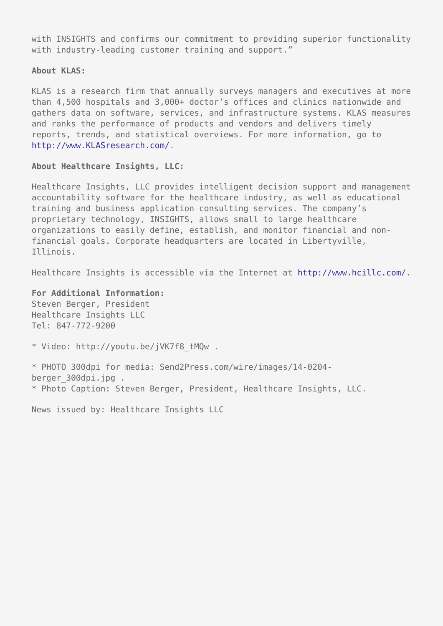with INSIGHTS and confirms our commitment to providing superior functionality with industry-leading customer training and support."

## **About KLAS:**

KLAS is a research firm that annually surveys managers and executives at more than 4,500 hospitals and 3,000+ doctor's offices and clinics nationwide and gathers data on software, services, and infrastructure systems. KLAS measures and ranks the performance of products and vendors and delivers timely reports, trends, and statistical overviews. For more information, go to [http://www.KLASresearch.com/.](http://www.KLASresearch.com/)

## **About Healthcare Insights, LLC:**

Healthcare Insights, LLC provides intelligent decision support and management accountability software for the healthcare industry, as well as educational training and business application consulting services. The company's proprietary technology, INSIGHTS, allows small to large healthcare organizations to easily define, establish, and monitor financial and nonfinancial goals. Corporate headquarters are located in Libertyville, Illinois.

Healthcare Insights is accessible via the Internet at [http://www.hcillc.com/.](http://www.hcillc.com/)

**For Additional Information:** Steven Berger, President Healthcare Insights LLC Tel: 847-772-9200

\* Video: http://youtu.be/jVK7f8\_tMQw .

\* PHOTO 300dpi for media: Send2Press.com/wire/images/14-0204 berger\_300dpi.jpg . \* Photo Caption: Steven Berger, President, Healthcare Insights, LLC.

News issued by: Healthcare Insights LLC